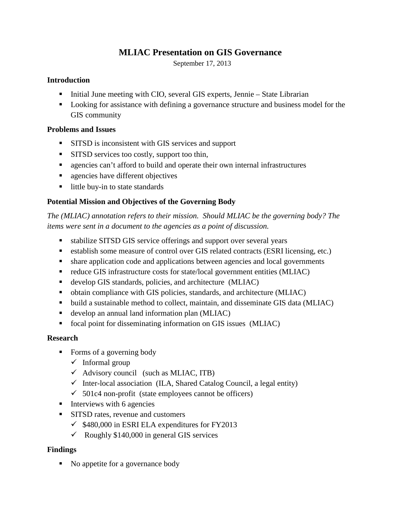# **MLIAC Presentation on GIS Governance**

September 17, 2013

### **Introduction**

- Initial June meeting with CIO, several GIS experts, Jennie State Librarian
- **Looking for assistance with defining a governance structure and business model for the** GIS community

## **Problems and Issues**

- **SITSD** is inconsistent with GIS services and support
- **SITSD services too costly, support too thin,**
- **Example 3** agencies can't afford to build and operate their own internal infrastructures
- **agencies have different objectives**
- little buy-in to state standards

# **Potential Mission and Objectives of the Governing Body**

*The (MLIAC) annotation refers to their mission. Should MLIAC be the governing body? The items were sent in a document to the agencies as a point of discussion.* 

- stabilize SITSD GIS service offerings and support over several years
- establish some measure of control over GIS related contracts (ESRI licensing, etc.)
- share application code and applications between agencies and local governments
- reduce GIS infrastructure costs for state/local government entities (MLIAC)
- develop GIS standards, policies, and architecture (MLIAC)
- obtain compliance with GIS policies, standards, and architecture (MLIAC)
- build a sustainable method to collect, maintain, and disseminate GIS data (MLIAC)
- develop an annual land information plan (MLIAC)
- focal point for disseminating information on GIS issues (MLIAC)

## **Research**

- Forms of a governing body
	- $\checkmark$  Informal group
	- $\checkmark$  Advisory council (such as MLIAC, ITB)
	- $\checkmark$  Inter-local association (ILA, Shared Catalog Council, a legal entity)
	- $\checkmark$  501c4 non-profit (state employees cannot be officers)
- $\blacksquare$  Interviews with 6 agencies
- **SITSD** rates, revenue and customers
	- $\checkmark$  \$480,000 in ESRI ELA expenditures for FY2013
	- $\checkmark$  Roughly \$140,000 in general GIS services

## **Findings**

• No appetite for a governance body